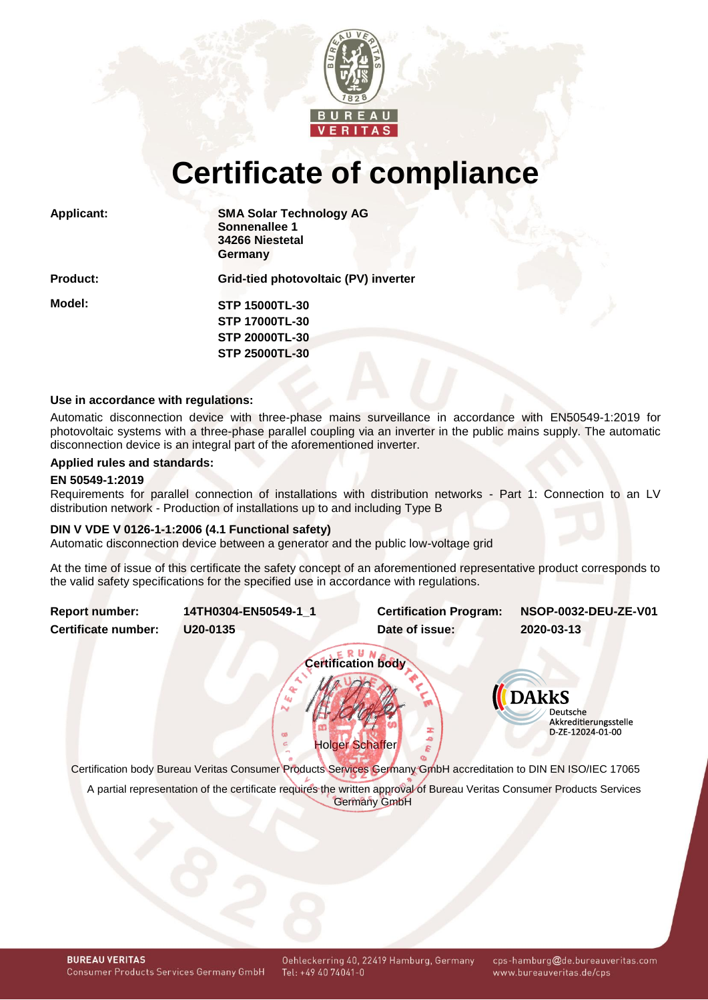

# **Certificate of compliance**

| <b>Applicant:</b> | <b>SMA Solar Technology AG</b><br>Sonnenallee 1<br>34266 Niestetal<br>Germany |  |  |  |  |
|-------------------|-------------------------------------------------------------------------------|--|--|--|--|
| <b>Product:</b>   | Grid-tied photovoltaic (PV) inverter                                          |  |  |  |  |
| Model:            | <b>STP 15000TL-30</b>                                                         |  |  |  |  |
|                   | <b>STP 17000TL-30</b>                                                         |  |  |  |  |
|                   | <b>STP 20000TL-30</b>                                                         |  |  |  |  |
|                   | <b>STP 25000TL-30</b>                                                         |  |  |  |  |
|                   |                                                                               |  |  |  |  |

## **Use in accordance with regulations:**

Automatic disconnection device with three-phase mains surveillance in accordance with EN50549-1:2019 for photovoltaic systems with a three-phase parallel coupling via an inverter in the public mains supply. The automatic disconnection device is an integral part of the aforementioned inverter.

# **Applied rules and standards:**

## **EN 50549-1:2019**

Requirements for parallel connection of installations with distribution networks - Part 1: Connection to an LV distribution network - Production of installations up to and including Type B

## **DIN V VDE V 0126-1-1:2006 (4.1 Functional safety)**

Automatic disconnection device between a generator and the public low-voltage grid

At the time of issue of this certificate the safety concept of an aforementioned representative product corresponds to the valid safety specifications for the specified use in accordance with regulations.

<span id="page-0-1"></span><span id="page-0-0"></span>

Certification body Bureau Veritas Consumer Products Services Germany GmbH accreditation to DIN EN ISO/IEC 17065

A partial representation of the certificate requires the written approval of Bureau Veritas Consumer Products Services Germany GmbH

cps-hamburg@de.bureauveritas.com www.bureauveritas.de/cps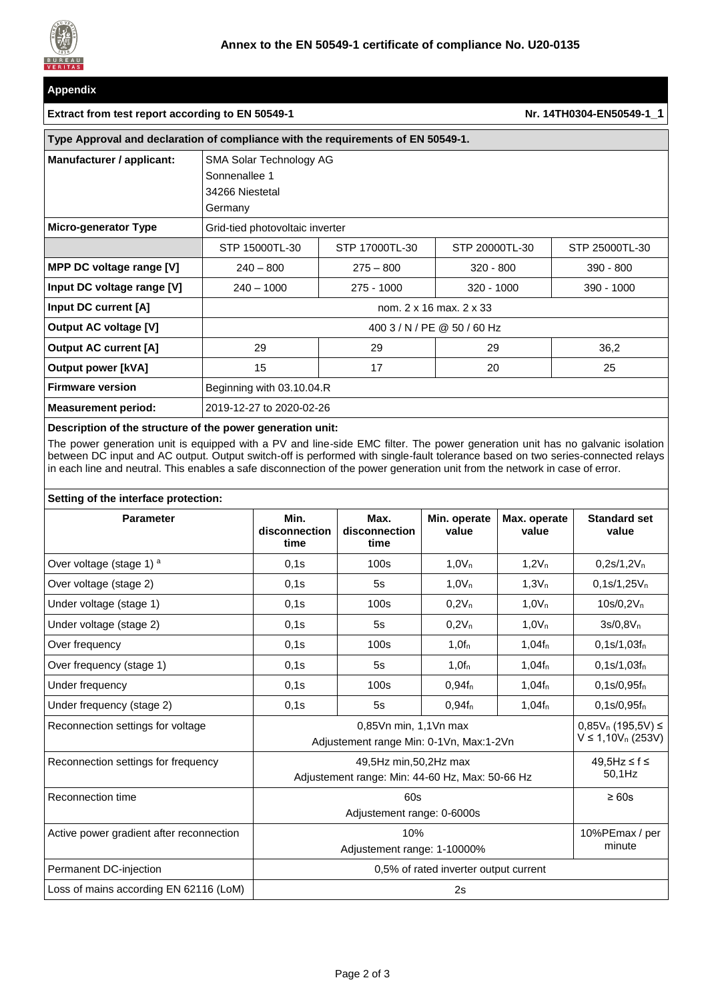

# **Appendix**

# **Extract from test report according to EN 50549-1 Nr. [14TH0304-EN50549-1](#page-0-1)\_1**

| Type Approval and declaration of compliance with the requirements of EN 50549-1. |                                                                        |                |                |                |  |  |  |  |
|----------------------------------------------------------------------------------|------------------------------------------------------------------------|----------------|----------------|----------------|--|--|--|--|
| Manufacturer / applicant:                                                        | SMA Solar Technology AG<br>Sonnenallee 1<br>34266 Niestetal<br>Germany |                |                |                |  |  |  |  |
| <b>Micro-generator Type</b>                                                      | Grid-tied photovoltaic inverter                                        |                |                |                |  |  |  |  |
|                                                                                  | STP 15000TL-30                                                         | STP 17000TL-30 | STP 20000TL-30 | STP 25000TL-30 |  |  |  |  |
| MPP DC voltage range [V]                                                         | $240 - 800$                                                            | $275 - 800$    | $320 - 800$    | 390 - 800      |  |  |  |  |
| Input DC voltage range [V]                                                       | $240 - 1000$                                                           | $275 - 1000$   | $320 - 1000$   | $390 - 1000$   |  |  |  |  |
| Input DC current [A]                                                             | nom. 2 x 16 max. 2 x 33                                                |                |                |                |  |  |  |  |
| Output AC voltage [V]                                                            | 400 3 / N / PE @ 50 / 60 Hz                                            |                |                |                |  |  |  |  |
| <b>Output AC current [A]</b>                                                     | 29                                                                     | 29             | 29             | 36,2           |  |  |  |  |
| <b>Output power [kVA]</b>                                                        | 15                                                                     | 17             | 20             | 25             |  |  |  |  |
| <b>Firmware version</b>                                                          | Beginning with 03.10.04.R                                              |                |                |                |  |  |  |  |
| <b>Measurement period:</b>                                                       | 2019-12-27 to 2020-02-26                                               |                |                |                |  |  |  |  |

# **Description of the structure of the power generation unit:**

The power generation unit is equipped with a PV and line-side EMC filter. The power generation unit has no galvanic isolation between DC input and AC output. Output switch-off is performed with single-fault tolerance based on two series-connected relays in each line and neutral. This enables a safe disconnection of the power generation unit from the network in case of error.

## **Setting of the interface protection:**

| <b>Parameter</b>                         | Min.<br>disconnection<br>time                   | Max.<br>disconnection<br>time                     | Min. operate<br>value | Max. operate<br>value | <b>Standard set</b><br>value |  |  |  |
|------------------------------------------|-------------------------------------------------|---------------------------------------------------|-----------------------|-----------------------|------------------------------|--|--|--|
| Over voltage (stage 1) a                 | 0,1s                                            | 100s                                              | 1,0V <sub>n</sub>     | 1,2V <sub>n</sub>     | $0,2s/1,2V_n$                |  |  |  |
| Over voltage (stage 2)                   | 0.1s                                            | 5s                                                | 1.0V <sub>n</sub>     | 1.3V <sub>n</sub>     | $0,1s/1,25V_n$               |  |  |  |
| Under voltage (stage 1)                  | 0,1s                                            | 100s                                              | $0.2V_n$              | 1.0V <sub>n</sub>     | $10s/0, 2V_n$                |  |  |  |
| Under voltage (stage 2)                  | 0,1s                                            | 5s                                                | $0,2V_n$              | 1.0V <sub>n</sub>     | $3s/0.8V_{n}$                |  |  |  |
| Over frequency                           | 0,1s                                            | 100s                                              | $1,0f_n$              | $1,04f_n$             | $0,1s/1,03f_n$               |  |  |  |
| Over frequency (stage 1)                 | 0,1s                                            | 5s                                                | 1,0f <sub>n</sub>     | $1,04f_n$             | $0,1s/1,03f_n$               |  |  |  |
| Under frequency                          | 0,1s                                            | 100s                                              | $0,94f_n$             | $1,04f_n$             | $0,1s/0,95f_n$               |  |  |  |
| Under frequency (stage 2)                | 0.1s                                            | 5s                                                | 0.94f <sub>n</sub>    | $1,04f_n$             | $0.1$ s/0.95f <sub>n</sub>   |  |  |  |
| Reconnection settings for voltage        | Adjustement range Min: 0-1Vn, Max:1-2Vn         | $0,85V_n (195,5V) \leq$<br>$V \le 1,10V_n (253V)$ |                       |                       |                              |  |  |  |
| Reconnection settings for frequency      | Adjustement range: Min: 44-60 Hz, Max: 50-66 Hz | 49.5Hz ≤ f ≤<br>50,1Hz                            |                       |                       |                              |  |  |  |
| Reconnection time                        |                                                 | $\geq 60s$                                        |                       |                       |                              |  |  |  |
| Active power gradient after reconnection |                                                 | 10%PEmax / per<br>minute                          |                       |                       |                              |  |  |  |
| Permanent DC-injection                   | 0,5% of rated inverter output current           |                                                   |                       |                       |                              |  |  |  |
| Loss of mains according EN 62116 (LoM)   | 2s                                              |                                                   |                       |                       |                              |  |  |  |